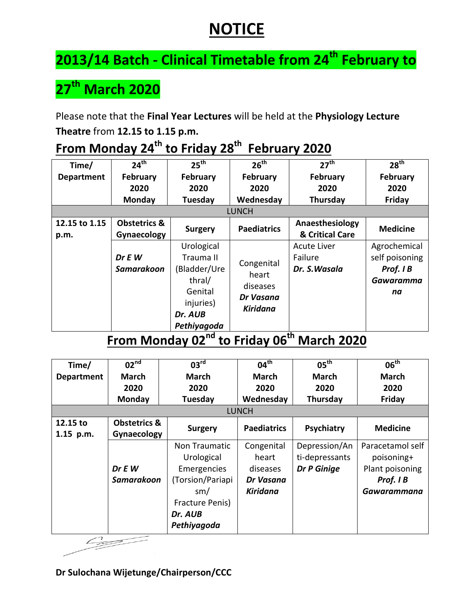## **NOTICE**

# **2013/14 Batch - Clinical Timetable from 24th February to**

## **27th March 2020**

Please note that the **Final Year Lectures** will be held at the **Physiology Lecture Theatre** from **12.15 to 1.15 p.m.**

| Time/             | $24^{\text{th}}$        | 25 <sup>th</sup> | 26 <sup>th</sup>      | 27 <sup>th</sup>   | 28 <sup>th</sup> |  |  |
|-------------------|-------------------------|------------------|-----------------------|--------------------|------------------|--|--|
| <b>Department</b> | <b>February</b>         | <b>February</b>  | February              | February           | February         |  |  |
|                   | 2020                    | 2020             | 2020                  | 2020               | 2020             |  |  |
|                   | Monday                  | Tuesday          | Wednesday             | Thursday           | Friday           |  |  |
| <b>LUNCH</b>      |                         |                  |                       |                    |                  |  |  |
| 12.15 to 1.15     | <b>Obstetrics &amp;</b> |                  | <b>Paediatrics</b>    | Anaesthesiology    | <b>Medicine</b>  |  |  |
| p.m.              | Gynaecology             | <b>Surgery</b>   |                       | & Critical Care    |                  |  |  |
|                   |                         | Urological       |                       | <b>Acute Liver</b> | Agrochemical     |  |  |
|                   | Dr E W                  | Trauma II        |                       | Failure            | self poisoning   |  |  |
|                   | Samarakoon              | (Bladder/Ure     | Congenital            | Dr. S. Wasala      | Prof. I B        |  |  |
|                   |                         | thral/           | heart                 |                    | Gawaramma        |  |  |
|                   |                         | Genital          | diseases              |                    | na               |  |  |
|                   |                         | injuries)        | Dr Vasana<br>Kiridana |                    |                  |  |  |
|                   |                         | Dr. AUB          |                       |                    |                  |  |  |
|                   |                         | Pethiyagoda      |                       | $\sim$ 1.1 $\sim$  |                  |  |  |

## **From Monday 24th to Friday 28th February 2020**

#### **From Monday 02nd to Friday 06th March 2020**

| Time/                 | 02 <sup>nd</sup>                       | 03 <sup>rd</sup>                                                                                                   | 04 <sup>th</sup>                                         | $05^{\text{th}}$                               | 06 <sup>th</sup>                                                              |  |  |
|-----------------------|----------------------------------------|--------------------------------------------------------------------------------------------------------------------|----------------------------------------------------------|------------------------------------------------|-------------------------------------------------------------------------------|--|--|
| <b>Department</b>     | March                                  | <b>March</b>                                                                                                       | <b>March</b>                                             | <b>March</b>                                   | <b>March</b>                                                                  |  |  |
|                       | 2020                                   | 2020                                                                                                               | 2020                                                     | 2020                                           | 2020                                                                          |  |  |
|                       | Monday                                 | Tuesday                                                                                                            | Wednesday                                                | Thursday                                       | Friday                                                                        |  |  |
|                       | <b>LUNCH</b>                           |                                                                                                                    |                                                          |                                                |                                                                               |  |  |
| 12.15 to<br>1.15 p.m. | <b>Obstetrics &amp;</b><br>Gynaecology | <b>Surgery</b>                                                                                                     | <b>Paediatrics</b>                                       | Psychiatry                                     | <b>Medicine</b>                                                               |  |  |
|                       | Dr E W<br>Samarakoon                   | Non Traumatic<br>Urological<br>Emergencies<br>(Torsion/Pariapi<br>sm/<br>Fracture Penis)<br>Dr. AUB<br>Pethiyagoda | Congenital<br>heart<br>diseases<br>Dr Vasana<br>Kiridana | Depression/An<br>ti-depressants<br>Dr P Ginige | Paracetamol self<br>poisoning+<br>Plant poisoning<br>Prof. I B<br>Gawarammana |  |  |
|                       |                                        |                                                                                                                    |                                                          |                                                |                                                                               |  |  |

**Dr Sulochana Wijetunge/Chairperson/CCC**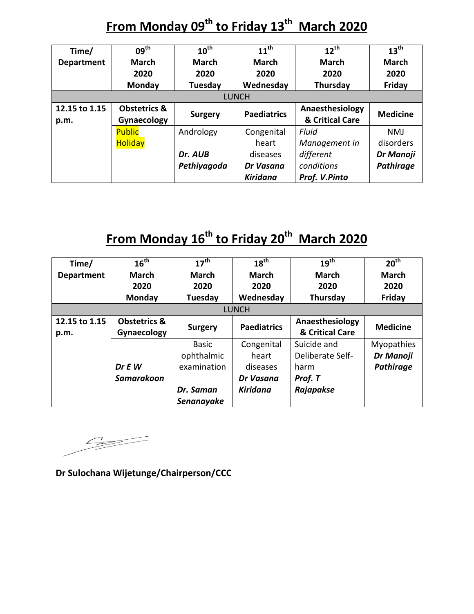### **From Monday 09th to Friday 13th March 2020**

| Time/             | $09^{\text{th}}$        | $10^{\text{th}}$ | $11^{th}$          | $12^{th}$       | $13^{\text{th}}$ |  |  |
|-------------------|-------------------------|------------------|--------------------|-----------------|------------------|--|--|
| <b>Department</b> | <b>March</b>            | <b>March</b>     | <b>March</b>       | <b>March</b>    | <b>March</b>     |  |  |
|                   | 2020                    | 2020             | 2020               | 2020            | 2020             |  |  |
|                   | <b>Monday</b>           | Tuesday          | Wednesday          | Thursday        | Friday           |  |  |
| <b>LUNCH</b>      |                         |                  |                    |                 |                  |  |  |
| 12.15 to 1.15     | <b>Obstetrics &amp;</b> |                  | <b>Paediatrics</b> | Anaesthesiology | <b>Medicine</b>  |  |  |
| p.m.              | Gynaecology             | <b>Surgery</b>   |                    | & Critical Care |                  |  |  |
|                   | <b>Public</b>           | Andrology        | Congenital         | Fluid           | <b>NMJ</b>       |  |  |
|                   | <b>Holiday</b>          |                  | heart              | Management in   | disorders        |  |  |
|                   |                         | Dr. AUB          | diseases           | different       | Dr Manoji        |  |  |
|                   |                         | Pethiyagoda      | Dr Vasana          | conditions      | Pathirage        |  |  |
|                   |                         |                  | <b>Kiridana</b>    | Prof. V.Pinto   |                  |  |  |

## **From Monday 16th to Friday 20th March 2020**

| Time/             | 16 <sup>th</sup>        | $17^{\text{th}}$ | 18 <sup>th</sup>   | 19 <sup>th</sup> | 20 <sup>th</sup>  |  |  |
|-------------------|-------------------------|------------------|--------------------|------------------|-------------------|--|--|
| <b>Department</b> | <b>March</b>            | <b>March</b>     | <b>March</b>       | <b>March</b>     | <b>March</b>      |  |  |
|                   | 2020                    | 2020             | 2020               | 2020             | 2020              |  |  |
|                   | Monday                  | Tuesday          | Wednesday          | Thursday         | Friday            |  |  |
| <b>LUNCH</b>      |                         |                  |                    |                  |                   |  |  |
| 12.15 to 1.15     | <b>Obstetrics &amp;</b> |                  | <b>Paediatrics</b> | Anaesthesiology  | <b>Medicine</b>   |  |  |
| p.m.              | Gynaecology             | <b>Surgery</b>   |                    | & Critical Care  |                   |  |  |
|                   |                         | <b>Basic</b>     | Congenital         | Suicide and      | <b>Myopathies</b> |  |  |
|                   |                         | ophthalmic       | heart              | Deliberate Self- | Dr Manoji         |  |  |
|                   | Dr E W                  | examination      | diseases           | harm             | Pathirage         |  |  |
|                   | Samarakoon              |                  | Dr Vasana          | Prof. T          |                   |  |  |
|                   |                         | Dr. Saman        | <b>Kiridana</b>    | Rajapakse        |                   |  |  |
|                   |                         | Senanayake       |                    |                  |                   |  |  |

 $\begin{picture}(120,10) \put(0,0){\line(1,0){10}} \put(15,0){\line(1,0){10}} \put(15,0){\line(1,0){10}} \put(15,0){\line(1,0){10}} \put(15,0){\line(1,0){10}} \put(15,0){\line(1,0){10}} \put(15,0){\line(1,0){10}} \put(15,0){\line(1,0){10}} \put(15,0){\line(1,0){10}} \put(15,0){\line(1,0){10}} \put(15,0){\line(1,0){10}} \put(15,0){\line($ 

**Dr Sulochana Wijetunge/Chairperson/CCC**